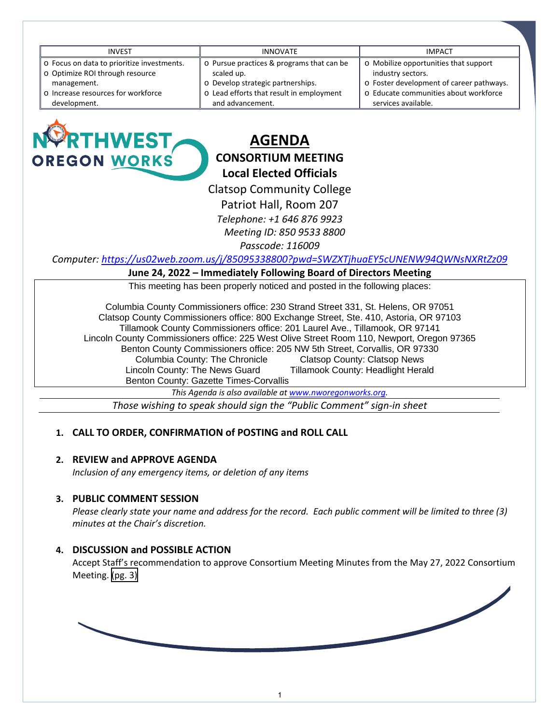| <b>INVEST</b>                              | <b>INNOVATE</b>                           | <b>IMPACT</b>                            |
|--------------------------------------------|-------------------------------------------|------------------------------------------|
| o Focus on data to prioritize investments. | o Pursue practices & programs that can be | o Mobilize opportunities that support    |
| o Optimize ROI through resource            | scaled up.                                | industry sectors.                        |
| management.                                | o Develop strategic partnerships.         | o Foster development of career pathways. |
| o Increase resources for workforce         | o Lead efforts that result in employment  | o Educate communities about workforce    |
| development.                               | and advancement.                          | services available.                      |
|                                            |                                           |                                          |



# **AGENDA CONSORTIUM MEETING Local Elected Officials**

Clatsop Community College

Patriot Hall, Room 207

*Telephone: +1 646 876 9923*

 *Meeting ID: 850 9533 8800*

*Passcode: 116009* 

*Computer:<https://us02web.zoom.us/j/85095338800?pwd=SWZXTjhuaEY5cUNENW94QWNsNXRtZz09>*

#### **June 24, 2022 – Immediately Following Board of Directors Meeting**

This meeting has been properly noticed and posted in the following places:

Columbia County Commissioners office: 230 Strand Street 331, St. Helens, OR 97051 Clatsop County Commissioners office: 800 Exchange Street, Ste. 410, Astoria, OR 97103 Tillamook County Commissioners office: 201 Laurel Ave., Tillamook, OR 97141 Lincoln County Commissioners office: 225 West Olive Street Room 110, Newport, Oregon 97365 Benton County Commissioners office: 205 NW 5th Street, Corvallis, OR 97330 Columbia County: The Chronicle and Clatsop County: Clatsop News<br>Coln County: The News Guard and Tillamook County: Headlight Herald Lincoln County: The News Guard Benton County: Gazette Times-Corvallis

*This Agenda is also available a[t www.nworegonworks.org.](http://www.nworegonworks.org/)* 

*Those wishing to speak should sign the "Public Comment" sign-in sheet*

# **1. CALL TO ORDER, CONFIRMATION of POSTING and ROLL CALL**

# **2. REVIEW and APPROVE AGENDA**

*Inclusion of any emergency items, or deletion of any items*

#### **3. PUBLIC COMMENT SESSION**

*Please clearly state your name and address for the record. Each public comment will be limited to three (3) minutes at the Chair's discretion.*

# **4. DISCUSSION and POSSIBLE ACTION**

Accept Staff's recommendation to approve Consortium Meeting Minutes from the May 27, 2022 Consortium Meeting. [\(pg. 3\)](#page-2-0)

1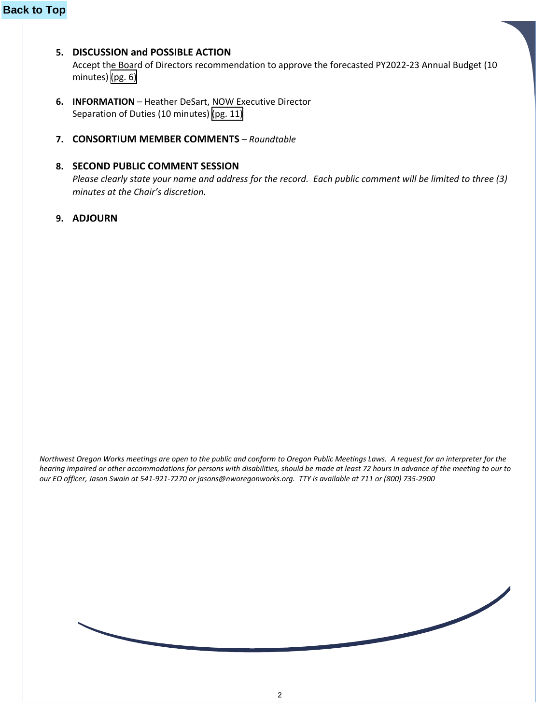# **5. DISCUSSION and POSSIBLE ACTION**

Accept the Board of Directors recommendation to approve the forecasted PY2022-23 Annual Budget (10 minutes) [\(pg. 6\)](#page-5-0)

- **6. INFORMATION** Heather DeSart, NOW Executive Director Separation of Duties (10 minutes) [\(pg. 11\)](#page-10-0)
- **7. CONSORTIUM MEMBER COMMENTS** *Roundtable*

## **8. SECOND PUBLIC COMMENT SESSION**

*Please clearly state your name and address for the record. Each public comment will be limited to three (3) minutes at the Chair's discretion.*

**9. ADJOURN**

*Northwest Oregon Works meetings are open to the public and conform to Oregon Public Meetings Laws. A request for an interpreter for the hearing impaired or other accommodations for persons with disabilities, should be made at least 72 hours in advance of the meeting to our to our EO officer, Jason Swain at 541-921-7270 or jasons@nworegonworks.org. TTY is available at 711 or (800) 735-2900* 

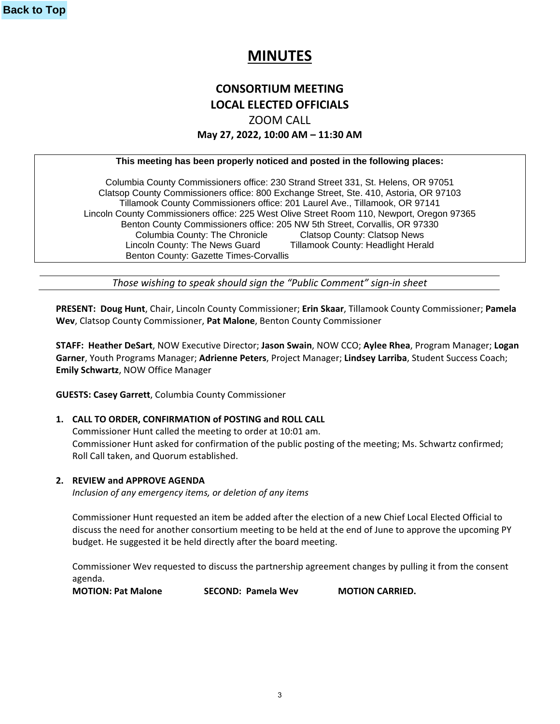# **MINUTES**

# **CONSORTIUM MEETING LOCAL ELECTED OFFICIALS** ZOOM CALL **May 27, 2022, 10:00 AM – 11:30 AM**

#### <span id="page-2-0"></span>**This meeting has been properly noticed and posted in the following places:**

Columbia County Commissioners office: 230 Strand Street 331, St. Helens, OR 97051 Clatsop County Commissioners office: 800 Exchange Street, Ste. 410, Astoria, OR 97103 Tillamook County Commissioners office: 201 Laurel Ave., Tillamook, OR 97141 Lincoln County Commissioners office: 225 West Olive Street Room 110, Newport, Oregon 97365 Benton County Commissioners office: 205 NW 5th Street, Corvallis, OR 97330 Columbia County: The Chronicle Clatsop County: Clatsop News Lincoln County: The News Guard Tillamook County: Headlight Herald Benton County: Gazette Times-Corvallis

*Those wishing to speak should sign the "Public Comment" sign-in sheet*

**PRESENT: Doug Hunt**, Chair, Lincoln County Commissioner; **Erin Skaar**, Tillamook County Commissioner; **Pamela Wev**, Clatsop County Commissioner, **Pat Malone**, Benton County Commissioner

**STAFF: Heather DeSart**, NOW Executive Director; **Jason Swain**, NOW CCO; **Aylee Rhea**, Program Manager; **Logan Garner**, Youth Programs Manager; **Adrienne Peters**, Project Manager; **Lindsey Larriba**, Student Success Coach; **Emily Schwartz**, NOW Office Manager

**GUESTS: Casey Garrett**, Columbia County Commissioner

#### **1. CALL TO ORDER, CONFIRMATION of POSTING and ROLL CALL**

Commissioner Hunt called the meeting to order at 10:01 am. Commissioner Hunt asked for confirmation of the public posting of the meeting; Ms. Schwartz confirmed; Roll Call taken, and Quorum established.

#### **2. REVIEW and APPROVE AGENDA**

*Inclusion of any emergency items, or deletion of any items*

Commissioner Hunt requested an item be added after the election of a new Chief Local Elected Official to discuss the need for another consortium meeting to be held at the end of June to approve the upcoming PY budget. He suggested it be held directly after the board meeting.

Commissioner Wev requested to discuss the partnership agreement changes by pulling it from the consent agenda.

**MOTION: Pat Malone SECOND: Pamela Wev MOTION CARRIED.**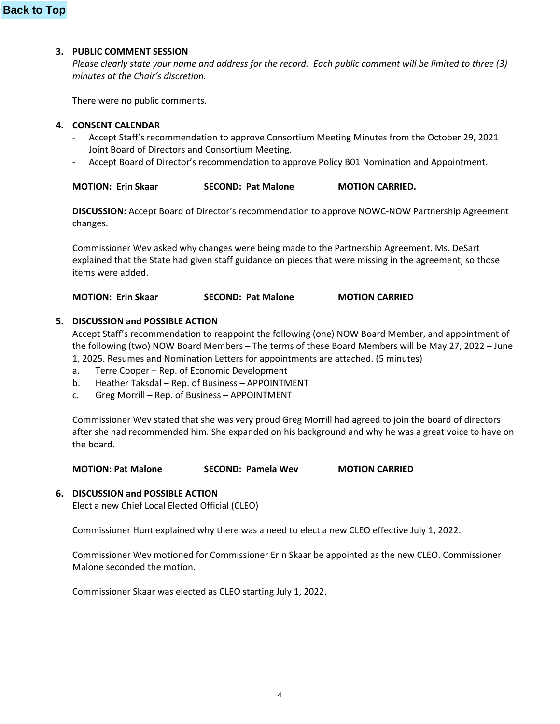#### **3. PUBLIC COMMENT SESSION**

*Please clearly state your name and address for the record. Each public comment will be limited to three (3) minutes at the Chair's discretion.*

There were no public comments.

#### **4. CONSENT CALENDAR**

- Accept Staff's recommendation to approve Consortium Meeting Minutes from the October 29, 2021 Joint Board of Directors and Consortium Meeting.
- Accept Board of Director's recommendation to approve Policy B01 Nomination and Appointment.

| <b>MOTION: Erin Skaar</b> | <b>SECOND: Pat Malone</b> | <b>MOTION CARRIED.</b> |
|---------------------------|---------------------------|------------------------|
|---------------------------|---------------------------|------------------------|

**DISCUSSION:** Accept Board of Director's recommendation to approve NOWC-NOW Partnership Agreement changes.

Commissioner Wev asked why changes were being made to the Partnership Agreement. Ms. DeSart explained that the State had given staff guidance on pieces that were missing in the agreement, so those items were added.

**MOTION: Erin Skaar SECOND: Pat Malone MOTION CARRIED**

#### **5. DISCUSSION and POSSIBLE ACTION**

Accept Staff's recommendation to reappoint the following (one) NOW Board Member, and appointment of the following (two) NOW Board Members – The terms of these Board Members will be May 27, 2022 – June 1, 2025. Resumes and Nomination Letters for appointments are attached. (5 minutes)

- a. Terre Cooper Rep. of Economic Development
- b. Heather Taksdal Rep. of Business APPOINTMENT
- c. Greg Morrill Rep. of Business APPOINTMENT

Commissioner Wev stated that she was very proud Greg Morrill had agreed to join the board of directors after she had recommended him. She expanded on his background and why he was a great voice to have on the board.

**MOTION: Pat Malone SECOND: Pamela Wev MOTION CARRIED**

#### **6. DISCUSSION and POSSIBLE ACTION**

Elect a new Chief Local Elected Official (CLEO)

Commissioner Hunt explained why there was a need to elect a new CLEO effective July 1, 2022.

Commissioner Wev motioned for Commissioner Erin Skaar be appointed as the new CLEO. Commissioner Malone seconded the motion.

Commissioner Skaar was elected as CLEO starting July 1, 2022.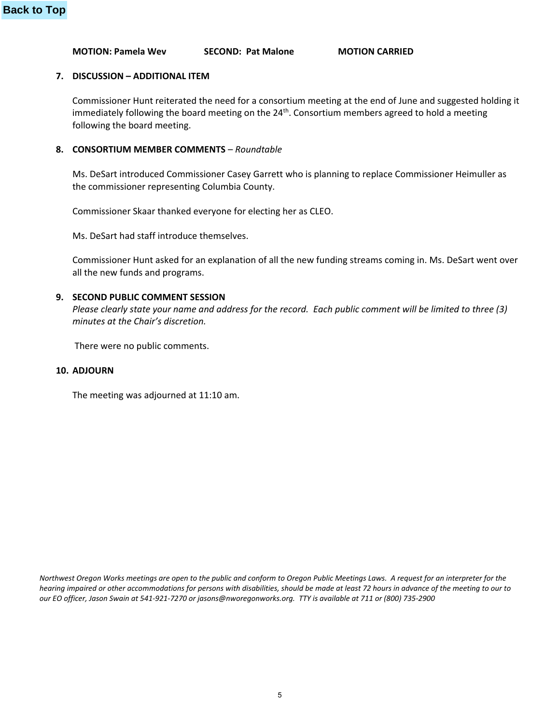**MOTION: Pamela Wev SECOND: Pat Malone MOTION CARRIED**

#### **7. DISCUSSION – ADDITIONAL ITEM**

Commissioner Hunt reiterated the need for a consortium meeting at the end of June and suggested holding it immediately following the board meeting on the 24<sup>th</sup>. Consortium members agreed to hold a meeting following the board meeting.

#### **8. CONSORTIUM MEMBER COMMENTS** – *Roundtable*

Ms. DeSart introduced Commissioner Casey Garrett who is planning to replace Commissioner Heimuller as the commissioner representing Columbia County.

Commissioner Skaar thanked everyone for electing her as CLEO.

Ms. DeSart had staff introduce themselves.

Commissioner Hunt asked for an explanation of all the new funding streams coming in. Ms. DeSart went over all the new funds and programs.

#### **9. SECOND PUBLIC COMMENT SESSION**

*Please clearly state your name and address for the record. Each public comment will be limited to three (3) minutes at the Chair's discretion.*

There were no public comments.

#### **10. ADJOURN**

The meeting was adjourned at 11:10 am.

*Northwest Oregon Works meetings are open to the public and conform to Oregon Public Meetings Laws. A request for an interpreter for the hearing impaired or other accommodations for persons with disabilities, should be made at least 72 hours in advance of the meeting to our to our EO officer, Jason Swain at 541-921-7270 or jasons@nworegonworks.org. TTY is available at 711 or (800) 735-2900*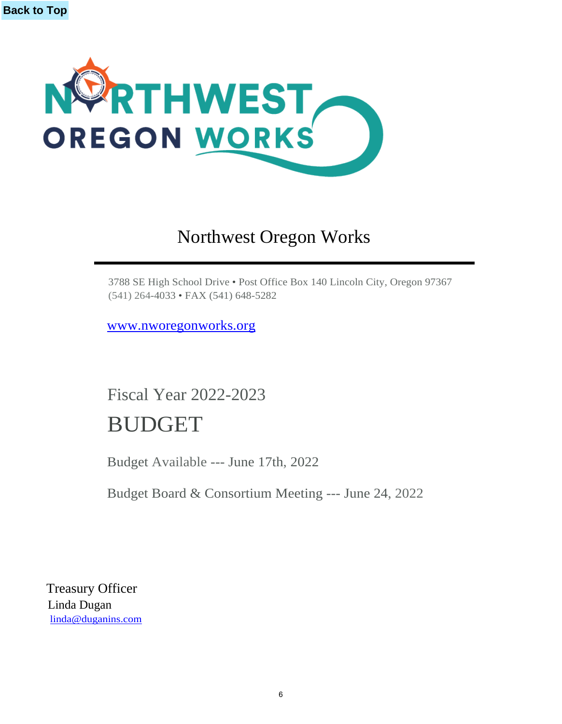<span id="page-5-0"></span>

# Northwest Oregon Works

3788 SE High School Drive • Post Office Box 140 Lincoln City, Oregon 97367 (541) 264-4033 • FAX (541) 648-5282

[www.nworegonworks.org](http://www.nworegonworks.org/)

Fiscal Year 2022-2023 BUDGET

Budget Available --- June 17th, 2022

Budget Board & Consortium Meeting --- June 24, 2022

Treasury Officer Linda Dugan [linda@duganins.com](mailto:linda@duganins.com)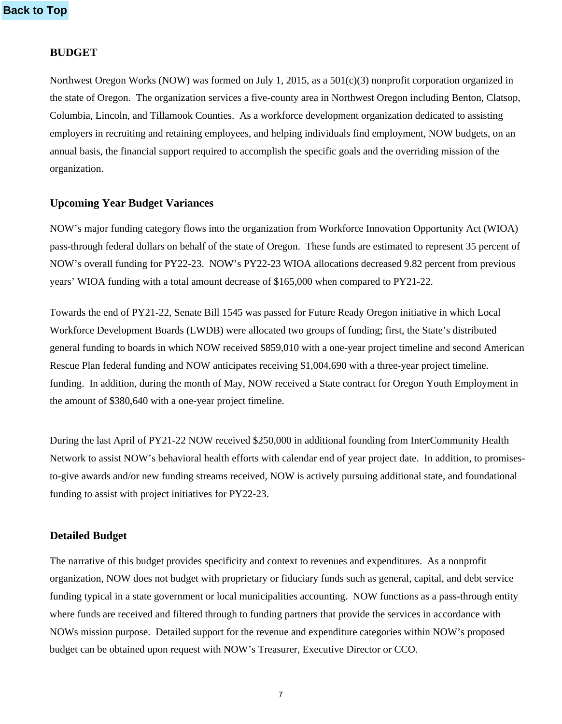## **BUDGET**

Northwest Oregon Works (NOW) was formed on July 1, 2015, as a 501(c)(3) nonprofit corporation organized in the state of Oregon. The organization services a five-county area in Northwest Oregon including Benton, Clatsop, Columbia, Lincoln, and Tillamook Counties. As a workforce development organization dedicated to assisting employers in recruiting and retaining employees, and helping individuals find employment, NOW budgets, on an annual basis, the financial support required to accomplish the specific goals and the overriding mission of the organization.

# **Upcoming Year Budget Variances**

NOW's major funding category flows into the organization from Workforce Innovation Opportunity Act (WIOA) pass-through federal dollars on behalf of the state of Oregon. These funds are estimated to represent 35 percent of NOW's overall funding for PY22-23. NOW's PY22-23 WIOA allocations decreased 9.82 percent from previous years' WIOA funding with a total amount decrease of \$165,000 when compared to PY21-22.

Towards the end of PY21-22, Senate Bill 1545 was passed for Future Ready Oregon initiative in which Local Workforce Development Boards (LWDB) were allocated two groups of funding; first, the State's distributed general funding to boards in which NOW received \$859,010 with a one-year project timeline and second American Rescue Plan federal funding and NOW anticipates receiving \$1,004,690 with a three-year project timeline. funding. In addition, during the month of May, NOW received a State contract for Oregon Youth Employment in the amount of \$380,640 with a one-year project timeline.

During the last April of PY21-22 NOW received \$250,000 in additional founding from InterCommunity Health Network to assist NOW's behavioral health efforts with calendar end of year project date. In addition, to promisesto-give awards and/or new funding streams received, NOW is actively pursuing additional state, and foundational funding to assist with project initiatives for PY22-23.

# **Detailed Budget**

The narrative of this budget provides specificity and context to revenues and expenditures. As a nonprofit organization, NOW does not budget with proprietary or fiduciary funds such as general, capital, and debt service funding typical in a state government or local municipalities accounting. NOW functions as a pass-through entity where funds are received and filtered through to funding partners that provide the services in accordance with NOWs mission purpose. Detailed support for the revenue and expenditure categories within NOW's proposed budget can be obtained upon request with NOW's Treasurer, Executive Director or CCO.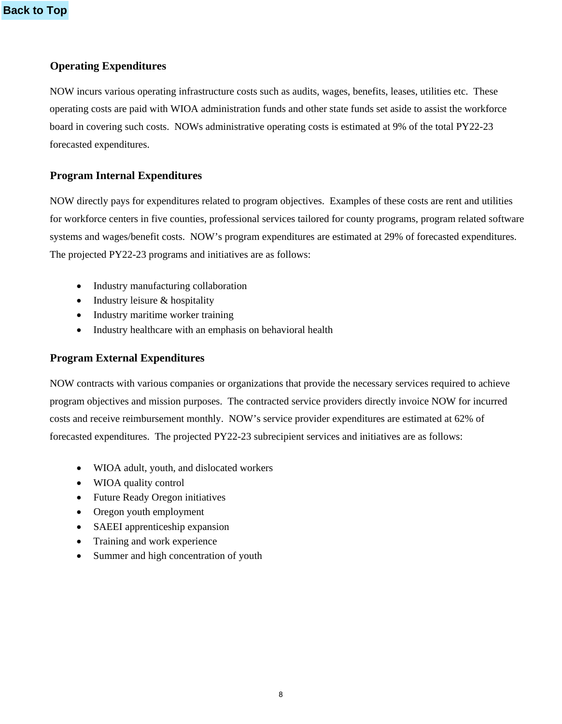# **Operating Expenditures**

NOW incurs various operating infrastructure costs such as audits, wages, benefits, leases, utilities etc. These operating costs are paid with WIOA administration funds and other state funds set aside to assist the workforce board in covering such costs. NOWs administrative operating costs is estimated at 9% of the total PY22-23 forecasted expenditures.

# **Program Internal Expenditures**

NOW directly pays for expenditures related to program objectives. Examples of these costs are rent and utilities for workforce centers in five counties, professional services tailored for county programs, program related software systems and wages/benefit costs. NOW's program expenditures are estimated at 29% of forecasted expenditures. The projected PY22-23 programs and initiatives are as follows:

- Industry manufacturing collaboration
- Industry leisure & hospitality
- Industry maritime worker training
- Industry healthcare with an emphasis on behavioral health

## **Program External Expenditures**

NOW contracts with various companies or organizations that provide the necessary services required to achieve program objectives and mission purposes. The contracted service providers directly invoice NOW for incurred costs and receive reimbursement monthly. NOW's service provider expenditures are estimated at 62% of forecasted expenditures. The projected PY22-23 subrecipient services and initiatives are as follows:

- WIOA adult, youth, and dislocated workers
- WIOA quality control
- Future Ready Oregon initiatives
- Oregon youth employment
- SAEEI apprenticeship expansion
- Training and work experience
- Summer and high concentration of youth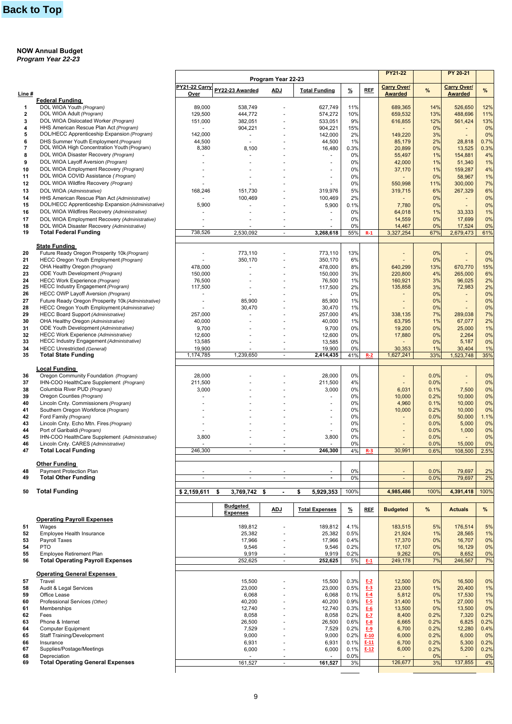#### **NOW Annual Budget** *Program Year 22-23*

|                         |                                                                            |                       |                                    | Program Year 22-23       |                          |            |            | PY21-22                              |          | PY 20-21                             |      |
|-------------------------|----------------------------------------------------------------------------|-----------------------|------------------------------------|--------------------------|--------------------------|------------|------------|--------------------------------------|----------|--------------------------------------|------|
| Line #                  |                                                                            | PY21-22 Carry<br>Over | PY22-23 Awarded                    | <b>ADJ</b>               | <b>Total Funding</b>     | %          | <b>REF</b> | <b>Carry Over/</b><br><b>Awarded</b> | %        | <b>Carry Over/</b><br><b>Awarded</b> | $\%$ |
|                         | <b>Federal Funding</b>                                                     |                       |                                    |                          |                          |            |            |                                      |          |                                      |      |
| $\mathbf{1}$            | DOL WIOA Youth (Program)                                                   | 89,000                | 538,749                            |                          | 627,749                  | 11%        |            | 689,365                              | 14%      | 526,650                              | 12%  |
| $\mathbf{2}$            | DOL WIOA Adult (Program)                                                   | 129,500               | 444,772                            |                          | 574,272                  | 10%        |            | 659,532                              | 13%      | 488,696                              | 11%  |
| 3                       | DOL WIOA Dislocated Worker (Program)                                       | 151,000               | 382,051                            |                          | 533,051                  | 9%         |            | 616,855                              | 12%      | 561,424                              | 13%  |
| 4                       | HHS American Rescue Plan Act (Program)                                     |                       | 904,221                            |                          | 904,221                  | 15%        |            |                                      | 0%       | $\overline{\phantom{a}}$             | 0%   |
| 5                       | DOL/HECC Apprenticeship Expansion (Program)                                | 142,000               | $\sim$                             |                          | 142,000                  | 2%         |            | 149,220                              | 3%       |                                      | 0%   |
| 6                       | DHS Summer Youth Employment (Program)                                      | 44,500                |                                    |                          | 44,500                   | 1%         |            | 85,179                               | 2%       | 28,818                               | 0.7% |
| $\overline{\mathbf{r}}$ | DOL WIOA High Concentration Youth (Program)                                | 8,380                 | 8,100                              |                          | 16,480                   | 0.3%       |            | 20,899                               | 0%       | 13,525                               | 0.3% |
| 8                       | DOL WIOA Disaster Recovery (Program)                                       | ٠                     |                                    |                          | $\blacksquare$           | 0%         |            | 55,497                               | 1%       | 154,881                              | 4%   |
| 9                       | DOL WIOA Layoff Aversion (Program)                                         |                       |                                    |                          | ä,                       | 0%         |            | 42,000                               | 1%       | 51,340                               | 1%   |
| 10                      | DOL WIOA Employment Recovery (Program)                                     |                       |                                    |                          | $\overline{\phantom{a}}$ | 0%         |            | 37,170                               | 1%       | 159,287                              | 4%   |
| 11                      | DOL WIOA COVID Assistance (Program)                                        |                       |                                    |                          | ä,                       | 0%         |            |                                      | 0%       | 58,967                               | 1%   |
| 12                      | DOL WIOA Wildfire Recovery (Program)                                       |                       |                                    |                          |                          | 0%         |            | 550,998                              | 11%      | 300,000                              | 7%   |
| 13                      | DOL WIOA (Administrative)                                                  | 168,246               | 151,730                            |                          | 319,976                  | 5%         |            | 319,715                              | 6%       | 267,329                              | 6%   |
| 14                      | HHS American Rescue Plan Act (Administrative)                              | ä,                    | 100,469                            |                          | 100,469                  | 2%         |            | ÷.                                   | 0%       | $\overline{\phantom{a}}$             | 0%   |
| 15                      | DOL/HECC Apprenticeship Expansion (Administrative)                         | 5,900                 |                                    |                          | 5,900                    | 0.1%       |            | 7,780                                | 0%       |                                      | 0%   |
| 16                      | DOL WIOA Wildfires Recovery (Administrative)                               |                       |                                    |                          | $\blacksquare$           | 0%         |            | 64,018                               | 1%       | 33,333                               | 1%   |
| 17                      | DOL WIOA Employment Recovery (Administrative)                              |                       |                                    |                          |                          | 0%         |            | 14,559                               | 0%       | 17,699                               | 0%   |
| 18                      | DOL WIOA Disaster Recovery (Administrative)                                |                       |                                    | $\sim$                   |                          | 0%         |            | 14,467                               | 0%       | 17,524                               | 0%   |
| 19                      | <b>Total Federal Funding</b>                                               | 738,526               | 2,530,092                          | ÷.                       | 3,268,618                | 55%        | $R-1$      | 3,327,254                            | 67%      | 2,679,473                            | 61%  |
|                         |                                                                            |                       |                                    |                          |                          |            |            |                                      |          |                                      |      |
|                         | <b>State Funding</b>                                                       |                       |                                    |                          |                          |            |            |                                      |          |                                      |      |
| 20                      | Future Ready Oregon Prosperity 10k (Program)                               | ٠                     | 773,110                            |                          | 773,110                  | 13%        |            | ä,                                   | 0%       |                                      | 0%   |
| 21                      | HECC Oregon Youth Employment (Program)                                     |                       | 350,170                            |                          | 350,170                  | 6%         |            |                                      | 0%       | $\blacksquare$                       | 0%   |
| 22                      | OHA Healthy Oregon (Program)                                               | 478,000               |                                    |                          | 478,000                  | 8%         |            | 640,299                              | 13%      | 670.770                              | 15%  |
| 23                      | ODE Youth Development (Program)                                            | 150,000               |                                    |                          | 150,000                  | 3%         |            | 220,800                              | 4%       | 265,000                              | 6%   |
| 24                      | HECC Work Experience (Program)                                             | 76,500                |                                    |                          | 76,500                   | 1%         |            | 160,921                              | 3%       | 96,025                               | 2%   |
| 25                      | HECC Industry Engagement (Program)                                         | 117,500               |                                    |                          | 117,500                  | 2%         |            | 135,858                              | 3%       | 72,983                               | 2%   |
| 26                      | HECC OWP Layoff Aversion (Program)                                         |                       |                                    |                          | ÷.                       | 0%         |            |                                      | 0%       |                                      | 0%   |
| 27                      | Future Ready Oregon Prosperity 10k (Administrative)                        | ä,                    | 85,900                             |                          | 85,900                   | 1%         |            | ٠                                    | 0%       | $\overline{\phantom{a}}$             | 0%   |
| 28                      | HECC Oregon Youth Employment (Administrative)                              |                       | 30,470                             |                          | 30,470                   | 1%         |            |                                      | 0%       |                                      | 0%   |
| 29                      | <b>HECC Board Support (Administrative)</b>                                 | 257.000               |                                    |                          | 257,000                  | 4%         |            | 338.135                              | 7%       | 289,038                              | 7%   |
| 30                      | OHA Healthy Oregon (Administrative)                                        | 40,000                |                                    |                          | 40,000                   | 1%         |            | 63,795                               | 1%       | 67,077                               | 2%   |
| 31                      | ODE Youth Development (Administrative)                                     | 9,700                 |                                    |                          | 9,700                    | 0%         |            | 19,200                               | 0%       | 25,000                               | 1%   |
| 32                      | HECC Work Experience (Administrative)                                      | 12,600                |                                    |                          | 12,600                   | 0%         |            | 17,880                               | 0%       | 2,264                                | 0%   |
| 33                      | HECC Industry Engagement (Administrative)                                  | 13,585                |                                    |                          | 13,585                   | 0%         |            |                                      | 0%       | 5,187                                | 0%   |
| 34                      | <b>HECC Unrestricted (General)</b>                                         | 19,900                |                                    |                          | 19,900                   | 0%         |            | 30,353                               | 1%       | 30,404                               | 1%   |
| 35                      | <b>Total State Funding</b>                                                 | 1,174,785             | 1,239,650                          | ÷.                       | 2,414,435                | 41%        | $R-2$      | 1,627,241                            | 33%      | 1,523,748                            | 35%  |
|                         | Local Funding                                                              |                       |                                    |                          |                          |            |            |                                      |          |                                      |      |
| 36                      | Oregon Community Foundation (Program)                                      | 28,000                |                                    |                          | 28,000                   | 0%         |            | $\blacksquare$                       | 0.0%     | $\blacksquare$                       | 0%   |
| 37                      | IHN-COO HealthCare Supplement (Program)                                    | 211,500               |                                    |                          | 211,500                  | 4%         |            |                                      | 0.0%     | $\blacksquare$                       | 0%   |
| 38                      | Columbia River PUD (Program)                                               | 3,000                 |                                    |                          | 3,000                    | 0%         |            | 6,031                                | 0.1%     | 7,500                                | 0%   |
| 39                      | Oregon Counties (Program)                                                  | $\ddot{\phantom{1}}$  |                                    |                          |                          | 0%         |            | 10,000                               | 0.2%     |                                      | 0%   |
| 40                      | Lincoln Cnty. Commissioners (Program)                                      |                       |                                    |                          | ٠                        | 0%         |            | 4,960                                | 0.1%     | 10,000<br>10,000                     | 0%   |
| 41                      | Southern Oregon Workforce (Program)                                        |                       |                                    |                          |                          | 0%         |            |                                      | 0.2%     | 10,000                               | 0%   |
| 42                      | Ford Family (Program)                                                      |                       |                                    |                          |                          | 0%         |            | 10,000                               | 0.0%     | 50,000                               | 1.1% |
| 43                      | Lincoln Cnty. Echo Mtn. Fires (Program)                                    |                       |                                    |                          | ٠                        | 0%         |            |                                      | 0.0%     | 5,000                                | 0%   |
| 44                      | Port of Garibaldi (Program)                                                |                       |                                    |                          |                          | 0%         |            |                                      | 0.0%     | 1,000                                | 0%   |
| 45                      | IHN-COO HealthCare Supplement (Administrative)                             | 3,800                 |                                    |                          | 3,800                    | 0%         |            |                                      | 0.0%     |                                      | 0%   |
| 46                      | Lincoln Cnty. CARES (Administrative)                                       |                       |                                    |                          |                          | 0%         |            |                                      | 0.0%     | 15,000                               | 0%   |
| 47                      | <b>Total Local Funding</b>                                                 | 246,300               | $\overline{\phantom{a}}$           | $\tilde{\phantom{a}}$    | 246.300                  | 4%         | $R-3$      | 30,991                               | 0.6%     | 108,500                              | 2.5% |
|                         |                                                                            |                       |                                    |                          |                          |            |            |                                      |          |                                      |      |
|                         | <b>Other Funding</b>                                                       |                       |                                    |                          |                          |            |            |                                      |          |                                      |      |
| 48                      | Payment Protection Plan                                                    |                       |                                    |                          |                          | 0%         |            |                                      | 0.0%     | 79,697                               | 2%   |
| 49                      | <b>Total Other Funding</b>                                                 | L                     |                                    | ÷,                       |                          | 0%         |            |                                      | 0.0%     | 79,697                               | 2%   |
|                         |                                                                            |                       |                                    |                          |                          |            |            |                                      |          |                                      |      |
| 50                      | <b>Total Funding</b>                                                       | \$2,159,611           | 3,769,742 \$<br>\$                 | $\overline{\phantom{a}}$ | 5,929,353<br>\$          | 100%       |            | 4,985,486                            | 100%     | 4,391,418                            | 100% |
|                         |                                                                            |                       |                                    |                          |                          |            |            |                                      |          |                                      |      |
|                         |                                                                            |                       | <b>Budgeted</b><br><b>Expenses</b> | <u>ADJ</u>               | <b>Total Expenses</b>    | %          | <b>REF</b> | <b>Budgeted</b>                      | $\%$     | <b>Actuals</b>                       | $\%$ |
|                         | <b>Operating Payroll Expenses</b>                                          |                       |                                    |                          |                          |            |            |                                      |          |                                      |      |
| 51                      | Wages                                                                      |                       | 189,812                            |                          | 189,812                  | 4.1%       |            | 183,515                              | 5%       | 176,514                              | 5%   |
| 52                      | Employee Health Insurance                                                  |                       | 25,382                             |                          | 25,382                   | 0.5%       |            | 21,924                               | 1%       | 28,565                               | 1%   |
| 53                      | Payroll Taxes                                                              |                       |                                    |                          | 17,966                   | 0.4%       |            |                                      | 0%       |                                      | 0%   |
|                         |                                                                            |                       | 17,966                             |                          |                          |            |            | 17,370                               |          | 16,707                               |      |
| 54                      | <b>PTO</b>                                                                 |                       | 9,546                              |                          | 9,546                    | 0.2%       |            | 17,107                               | 0%       | 16,129                               | 0%   |
| 55<br>56                | <b>Employee Retirement Plan</b><br><b>Total Operating Payroll Expenses</b> |                       | 9,919<br>252,625                   | ٠<br>ä,                  | 9,919<br>252,625         | 0.2%<br>5% | $E-1$      | 9,262                                | 0%<br>7% | 8,652                                | 0%   |
|                         |                                                                            |                       |                                    |                          |                          |            |            | 249,178                              |          | 246,567                              | 7%   |
|                         | <b>Operating General Expenses</b>                                          |                       |                                    |                          |                          |            |            |                                      |          |                                      |      |
| 57                      | Travel                                                                     |                       | 15,500                             |                          | 15,500                   | 0.3%       | $E-2$      | 12,500                               | 0%       | 16,500                               | 0%   |
| 58                      | Audit & Legal Services                                                     |                       | 23,000                             |                          | 23,000                   | 0.5%       | $E-3$      | 23,000                               | 1%       | 20,400                               | 1%   |
| 59                      | Office Lease                                                               |                       | 6,068                              |                          | 6,068                    | 0.1%       | $E-4$      | 5,812                                | 0%       | 17,530                               | 1%   |
| 60                      | Professional Services (Other)                                              |                       | 40,200                             |                          | 40,200                   | 0.9%       | $E-5$      | 31,400                               | 1%       | 27,000                               | 1%   |
| 61                      | Memberships                                                                |                       | 12,740                             |                          | 12,740                   | 0.3%       | $E-6$      | 13,500                               | 0%       | 13,500                               | 0%   |
| 62                      | Fees                                                                       |                       | 8,058                              |                          | 8,058                    | 0.2%       | E-7        | 8,400                                | 0.2%     | 7,320                                | 0.2% |
| 63                      | Phone & Internet                                                           |                       | 26,500                             |                          | 26,500                   | 0.6%       | $E-8$      | 6,665                                | 0.2%     | 6,825                                | 0.2% |
| 64                      | <b>Computer Equipment</b>                                                  |                       | 7,529                              |                          | 7,529                    | 0.2%       | E-9        | 6,700                                | 0.2%     | 12,280                               | 0.4% |
| 65                      | Staff Training/Development                                                 |                       | 9,000                              |                          | 9,000                    | 0.2%       | $E-10$     | 6,000                                | 0.2%     | 6,000                                | 0%   |
| 66                      | Insurance                                                                  |                       | 6,931                              |                          | 6,931                    | 0.1%       | $E-11$     | 6,700                                | 0.2%     | 5,300                                | 0.2% |
| 67                      | Supplies/Postage/Meetings                                                  |                       | 6,000                              |                          | 6,000                    | 0.1%       | $E-12$     | 6,000                                | 0.2%     | 5,200                                | 0.2% |
| 68                      | Depreciation                                                               |                       |                                    |                          |                          | 0.0%       |            |                                      | 0%       |                                      | 0%   |
| 69                      | <b>Total Operating General Expenses</b>                                    |                       | 161,527                            | $\blacksquare$           | 161,527                  | 3%         |            | 126,677                              | 3%       | 137,855                              | 4%   |
|                         |                                                                            |                       |                                    |                          |                          |            |            |                                      |          |                                      |      |
|                         |                                                                            |                       |                                    |                          |                          |            |            |                                      |          |                                      |      |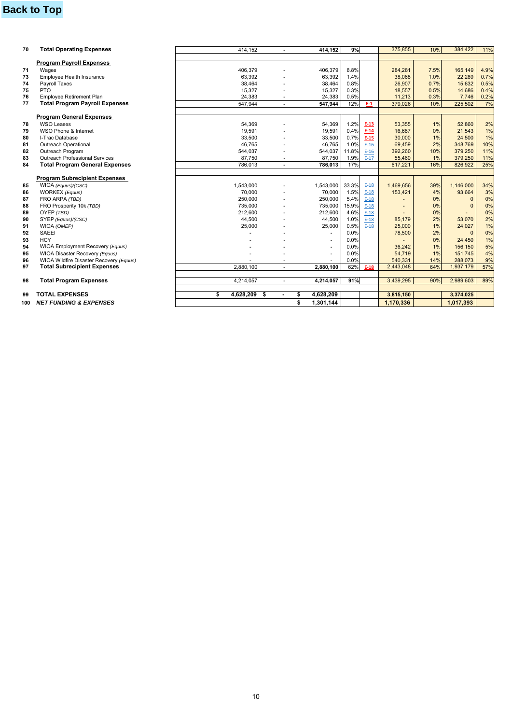# **Back to Top**

| 70 | <b>Total Operating Expenses</b>         | 414,152            |        | 414.152         | 9%    |        | 375,855   | 10%  | 384,422      | 11%  |
|----|-----------------------------------------|--------------------|--------|-----------------|-------|--------|-----------|------|--------------|------|
|    |                                         |                    |        |                 |       |        |           |      |              |      |
|    | <b>Program Payroll Expenses</b>         |                    |        |                 |       |        |           |      |              |      |
| 71 | Wages                                   | 406,379            |        | 406,379         | 8.8%  |        | 284,281   | 7.5% | 165,149      | 4.9% |
| 73 | Employee Health Insurance               | 63.392             |        | 63,392          | 1.4%  |        | 38,068    | 1.0% | 22,289       | 0.7% |
| 74 | Payroll Taxes                           | 38,464             |        | 38,464          | 0.8%  |        | 26,907    | 0.7% | 15,632       | 0.5% |
| 75 | <b>PTO</b>                              | 15,327             |        | 15,327          | 0.3%  |        | 18,557    | 0.5% | 14,686       | 0.4% |
| 76 | <b>Employee Retirement Plan</b>         | 24,383             | ٠      | 24,383          | 0.5%  |        | 11,213    | 0.3% | 7,746        | 0.2% |
| 77 | <b>Total Program Payroll Expenses</b>   | 547,944            | $\sim$ | 547,944         | 12%   | E-1    | 379,026   | 10%  | 225,502      | 7%   |
|    |                                         |                    |        |                 |       |        |           |      |              |      |
|    | <b>Program General Expenses</b>         |                    |        |                 |       |        |           |      |              |      |
| 78 | WSO Leases                              | 54,369             |        | 54,369          | 1.2%  | $E-13$ | 53,355    | 1%   | 52,860       | 2%   |
| 79 | WSO Phone & Internet                    | 19.591             |        | 19,591          | 0.4%  | $E-14$ | 16.687    | 0%   | 21,543       | 1%   |
| 80 | I-Trac Database                         | 33,500             |        | 33,500          | 0.7%  | $E-15$ | 30,000    | 1%   | 24,500       | 1%   |
| 81 | <b>Outreach Operational</b>             | 46.765             |        | 46,765          | 1.0%  | $E-16$ | 69,459    | 2%   | 348,769      | 10%  |
| 82 | Outreach Program                        | 544,037            |        | 544,037         | 11.8% | $E-16$ | 392,260   | 10%  | 379,250      | 11%  |
| 83 | <b>Outreach Professional Services</b>   | 87,750             |        | 87,750          | 1.9%  | $E-17$ | 55,460    | 1%   | 379,250      | 11%  |
| 84 | <b>Total Program General Expenses</b>   | 786,013            | $\sim$ | 786.013         | 17%   |        | 617.221   | 16%  | 826.922      | 25%  |
|    | <b>Program Subrecipient Expenses</b>    |                    |        |                 |       |        |           |      |              |      |
| 85 | WIOA (Equus)/(CSC)                      | 1.543.000          |        | 1,543,000       | 33.3% | $E-18$ | 1.469.656 | 39%  | 1,146,000    | 34%  |
| 86 | WORKEX (Equus)                          | 70,000             |        | 70,000          | 1.5%  | $E-18$ | 153,421   | 4%   | 93,664       | 3%   |
| 87 | FRO ARPA (TBD)                          | 250,000            |        | 250,000         | 5.4%  | $E-18$ |           | 0%   | $\mathbf{0}$ | 0%   |
| 88 | FRO Prosperity 10k (TBD)                | 735,000            |        | 735,000         | 15.9% | $E-18$ |           | 0%   | $\Omega$     | 0%   |
| 89 | OYEP (TBD)                              | 212,600            |        | 212,600         | 4.6%  | $E-18$ |           | 0%   |              | 0%   |
| 90 | SYEP (Equus)/(CSC)                      | 44,500             |        | 44,500          | 1.0%  | $E-18$ | 85.179    | 2%   | 53,070       | 2%   |
| 91 | WIOA (OMEP)                             | 25,000             |        | 25,000          | 0.5%  | $E-18$ | 25,000    | 1%   | 24,027       | 1%   |
| 92 | <b>SAEEI</b>                            |                    |        |                 | 0.0%  |        | 78,500    | 2%   | $\Omega$     | 0%   |
| 93 | <b>HCY</b>                              |                    |        | ÷               | 0.0%  |        |           | 0%   | 24,450       | 1%   |
| 94 | WIOA Employment Recovery (Equus)        |                    |        | $\overline{a}$  | 0.0%  |        | 36,242    | 1%   | 156,150      | 5%   |
| 95 | WIOA Disaster Recovery (Equus)          |                    |        | ä,              | 0.0%  |        | 54.719    | 1%   | 151.745      | 4%   |
| 96 | WIOA Wildfire Disaster Recovery (Equus) |                    |        |                 | 0.0%  |        | 540,331   | 14%  | 288,073      | 9%   |
| 97 | <b>Total Subrecipient Expenses</b>      | 2.880.100          |        | 2.880.100       | 62%   | $E-18$ | 2,443,048 | 64%  | 1,937,179    | 57%  |
|    |                                         |                    |        |                 |       |        |           |      |              |      |
| 98 | <b>Total Program Expenses</b>           | 4,214,057          |        | 4,214,057       | 91%   |        | 3,439,295 | 90%  | 2,989,603    | 89%  |
|    |                                         |                    |        |                 |       |        |           |      |              |      |
|    |                                         |                    |        |                 |       |        |           |      |              |      |
| 99 | <b>TOTAL EXPENSES</b>                   | \$<br>4,628,209 \$ |        | 4,628,209<br>\$ |       |        | 3,815,150 |      | 3,374,025    |      |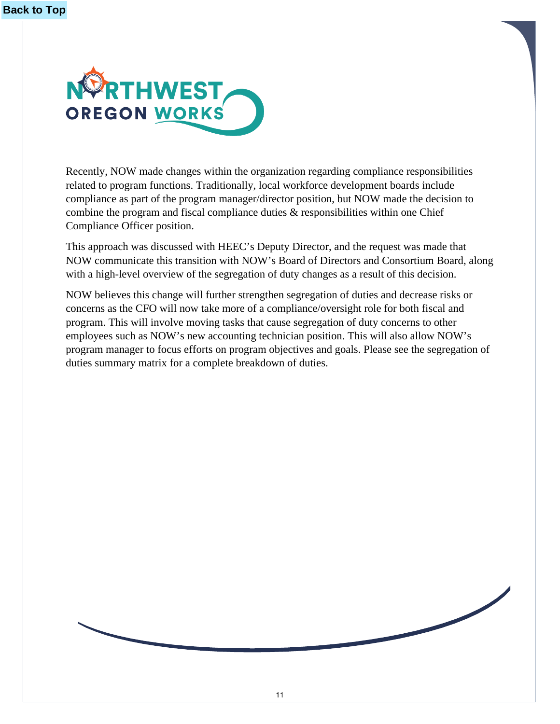<span id="page-10-0"></span>

Recently, NOW made changes within the organization regarding compliance responsibilities related to program functions. Traditionally, local workforce development boards include compliance as part of the program manager/director position, but NOW made the decision to combine the program and fiscal compliance duties & responsibilities within one Chief Compliance Officer position.

This approach was discussed with HEEC's Deputy Director, and the request was made that NOW communicate this transition with NOW's Board of Directors and Consortium Board, along with a high-level overview of the segregation of duty changes as a result of this decision.

NOW believes this change will further strengthen segregation of duties and decrease risks or concerns as the CFO will now take more of a compliance/oversight role for both fiscal and program. This will involve moving tasks that cause segregation of duty concerns to other employees such as NOW's new accounting technician position. This will also allow NOW's program manager to focus efforts on program objectives and goals. Please see the segregation of duties summary matrix for a complete breakdown of duties.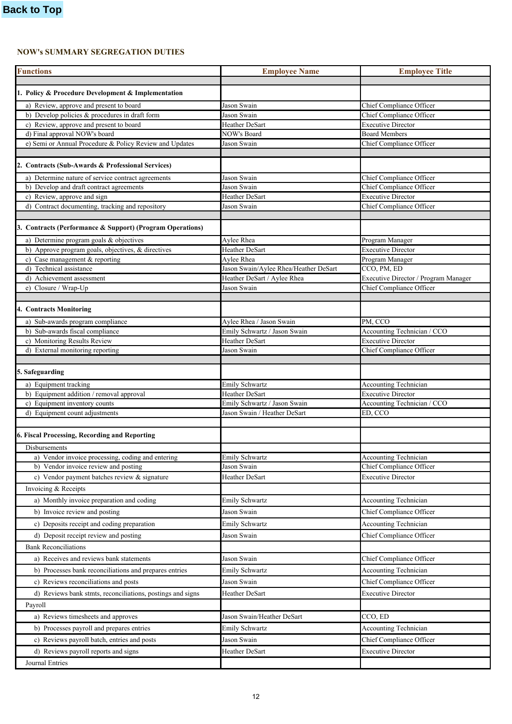# **NOW's SUMMARY SEGREGATION DUTIES**

| <b>Functions</b>                                                                               | <b>Employee Name</b>                       | <b>Employee Title</b>                                            |
|------------------------------------------------------------------------------------------------|--------------------------------------------|------------------------------------------------------------------|
|                                                                                                |                                            |                                                                  |
| 1. Policy & Procedure Development & Implementation                                             |                                            |                                                                  |
| a) Review, approve and present to board                                                        | Jason Swain                                | Chief Compliance Officer                                         |
| b) Develop policies & procedures in draft form                                                 | Jason Swain                                | Chief Compliance Officer                                         |
| c) Review, approve and present to board                                                        | Heather DeSart                             | <b>Executive Director</b>                                        |
| d) Final approval NOW's board                                                                  | NOW's Board                                | <b>Board Members</b>                                             |
| e) Semi or Annual Procedure & Policy Review and Updates                                        | Jason Swain                                | Chief Compliance Officer                                         |
| 2. Contracts (Sub-Awards & Professional Services)                                              |                                            |                                                                  |
|                                                                                                |                                            |                                                                  |
| a) Determine nature of service contract agreements<br>b) Develop and draft contract agreements | Jason Swain<br>Jason Swain                 | Chief Compliance Officer<br><b>Chief Compliance Officer</b>      |
| c) Review, approve and sign                                                                    | Heather DeSart                             | <b>Executive Director</b>                                        |
| d) Contract documenting, tracking and repository                                               | Jason Swain                                | Chief Compliance Officer                                         |
|                                                                                                |                                            |                                                                  |
| 3. Contracts (Performance & Support) (Program Operations)                                      |                                            |                                                                  |
| a) Determine program goals & objectives                                                        | Aylee Rhea                                 | Program Manager                                                  |
| b) Approve program goals, objectives, & directives                                             | Heather DeSart                             | <b>Executive Director</b>                                        |
| c) Case management & reporting                                                                 | Aylee Rhea                                 | Program Manager                                                  |
| d) Technical assistance                                                                        | Jason Swain/Aylee Rhea/Heather DeSart      | CCO, PM, ED                                                      |
| d) Achievement assessment<br>e) Closure / Wrap-Up                                              | Heather DeSart / Aylee Rhea<br>Jason Swain | Executive Director / Program Manager<br>Chief Compliance Officer |
|                                                                                                |                                            |                                                                  |
| 4. Contracts Monitoring                                                                        |                                            |                                                                  |
| a) Sub-awards program compliance                                                               | Aylee Rhea / Jason Swain                   | PM, CCO                                                          |
| b) Sub-awards fiscal compliance                                                                | Emily Schwartz / Jason Swain               | Accounting Technician / CCO                                      |
| c) Monitoring Results Review                                                                   | Heather DeSart                             | <b>Executive Director</b>                                        |
| d) External monitoring reporting                                                               | Jason Swain                                | Chief Compliance Officer                                         |
|                                                                                                |                                            |                                                                  |
| 5. Safeguarding                                                                                |                                            |                                                                  |
| a) Equipment tracking                                                                          | <b>Emily Schwartz</b>                      | <b>Accounting Technician</b>                                     |
| b) Equipment addition / removal approval                                                       | Heather DeSart                             | <b>Executive Director</b>                                        |
| c) Equipment inventory counts                                                                  | Emily Schwartz / Jason Swain               | Accounting Technician / CCO                                      |
| d) Equipment count adjustments                                                                 | Jason Swain / Heather DeSart               | ED, CCO                                                          |
| 6. Fiscal Processing, Recording and Reporting                                                  |                                            |                                                                  |
| <b>Disbursements</b>                                                                           |                                            |                                                                  |
| a) Vendor invoice processing, coding and entering                                              | <b>Emily Schwartz</b>                      | <b>Accounting Technician</b>                                     |
| b) Vendor invoice review and posting                                                           | Jason Swain                                | Chief Compliance Officer                                         |
| c) Vendor payment batches review & signature                                                   | Heather DeSart                             | <b>Executive Director</b>                                        |
| Invoicing & Receipts                                                                           |                                            |                                                                  |
| a) Monthly invoice preparation and coding                                                      | Emily Schwartz                             | <b>Accounting Technician</b>                                     |
| b) Invoice review and posting                                                                  | Jason Swain                                | Chief Compliance Officer                                         |
| c) Deposits receipt and coding preparation                                                     | <b>Emily Schwartz</b>                      | <b>Accounting Technician</b>                                     |
| d) Deposit receipt review and posting                                                          | Jason Swain                                | Chief Compliance Officer                                         |
| <b>Bank Reconciliations</b>                                                                    |                                            |                                                                  |
|                                                                                                |                                            | Chief Compliance Officer                                         |
| a) Receives and reviews bank statements                                                        | Jason Swain                                |                                                                  |
| b) Processes bank reconciliations and prepares entries                                         | <b>Emily Schwartz</b>                      | <b>Accounting Technician</b>                                     |
| c) Reviews reconciliations and posts                                                           | Jason Swain                                | Chief Compliance Officer                                         |
| d) Reviews bank stmts, reconciliations, postings and signs                                     | Heather DeSart                             | <b>Executive Director</b>                                        |
| Payroll                                                                                        |                                            |                                                                  |
| a) Reviews timesheets and approves                                                             | Jason Swain/Heather DeSart                 | CCO, ED                                                          |
| b) Processes payroll and prepares entries                                                      | <b>Emily Schwartz</b>                      | <b>Accounting Technician</b>                                     |
| c) Reviews payroll batch, entries and posts                                                    | Jason Swain                                | Chief Compliance Officer                                         |
| d) Reviews payroll reports and signs                                                           | Heather DeSart                             | <b>Executive Director</b>                                        |
| Journal Entries                                                                                |                                            |                                                                  |